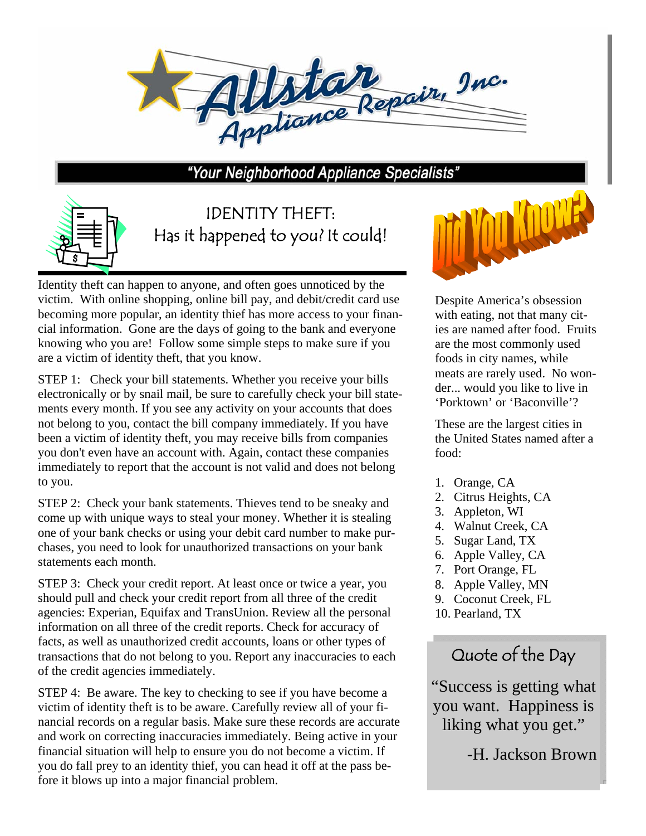

"Your Neighborhood Appliance Specialists"



IDENTITY THEFT: Has it happened to you? It could!

Identity theft can happen to anyone, and often goes unnoticed by the victim. With online shopping, online bill pay, and debit/credit card use becoming more popular, an identity thief has more access to your financial information. Gone are the days of going to the bank and everyone knowing who you are! Follow some simple steps to make sure if you are a victim of identity theft, that you know.

STEP 1: Check your bill statements. Whether you receive your bills electronically or by snail mail, be sure to carefully check your bill statements every month. If you see any activity on your accounts that does not belong to you, contact the bill company immediately. If you have been a victim of identity theft, you may receive bills from companies you don't even have an account with. Again, contact these companies immediately to report that the account is not valid and does not belong to you.

STEP 2: Check your bank statements. Thieves tend to be sneaky and come up with unique ways to steal your money. Whether it is stealing one of your bank checks or using your debit card number to make purchases, you need to look for unauthorized transactions on your bank statements each month.

STEP 3: Check your credit report. At least once or twice a year, you should pull and check your credit report from all three of the credit agencies: Experian, Equifax and TransUnion. Review all the personal information on all three of the credit reports. Check for accuracy of facts, as well as unauthorized credit accounts, loans or other types of transactions that do not belong to you. Report any inaccuracies to each of the credit agencies immediately.

STEP 4: Be aware. The key to checking to see if you have become a victim of identity theft is to be aware. Carefully review all of your financial records on a regular basis. Make sure these records are accurate and work on correcting inaccuracies immediately. Being active in your financial situation will help to ensure you do not become a victim. If you do fall prey to an identity thief, you can head it off at the pass before it blows up into a major financial problem.



Despite America's obsession with eating, not that many cities are named after food. Fruits are the most commonly used foods in city names, while meats are rarely used. No wonder... would you like to live in 'Porktown' or 'Baconville'?

These are the largest cities in the United States named after a food:

- 1. Orange, CA
- 2. Citrus Heights, CA
- 3. Appleton, WI
- 4. Walnut Creek, CA
- 5. Sugar Land, TX
- 6. Apple Valley, CA
- 7. Port Orange, FL
- 8. Apple Valley, MN
- 9. Coconut Creek, FL
- 10. Pearland, TX

## Quote of the Day

"Success is getting what you want. Happiness is liking what you get."

-H. Jackson Brown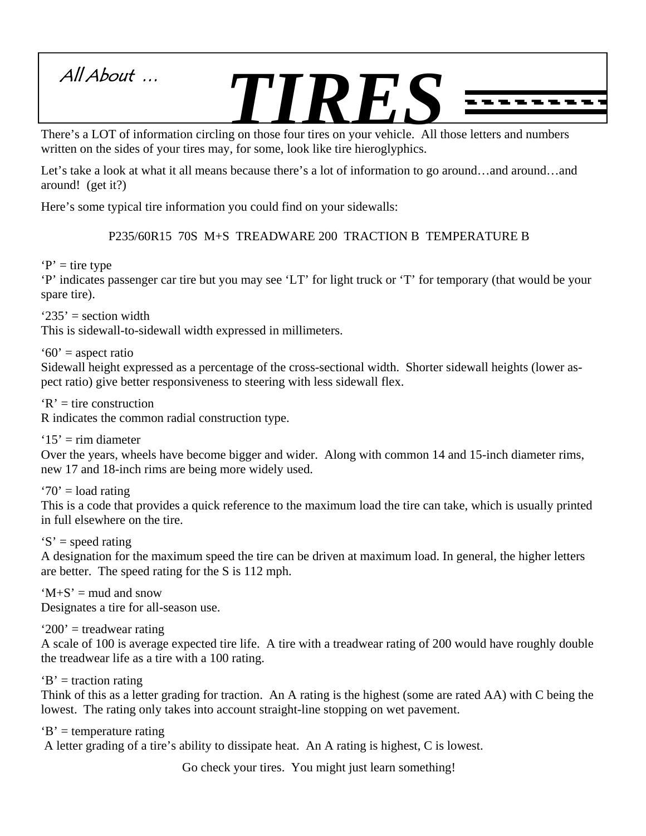

written on the sides of your tires may, for some, look like tire hieroglyphics.

Let's take a look at what it all means because there's a lot of information to go around…and around…and around! (get it?)

Here's some typical tire information you could find on your sidewalls:

P235/60R15 70S M+S TREADWARE 200 TRACTION B TEMPERATURE B

 $P'$  = tire type

'P' indicates passenger car tire but you may see 'LT' for light truck or 'T' for temporary (that would be your spare tire).

 $235'$  = section width

This is sidewall-to-sidewall width expressed in millimeters.

 $60'$  = aspect ratio

Sidewall height expressed as a percentage of the cross-sectional width. Shorter sidewall heights (lower aspect ratio) give better responsiveness to steering with less sidewall flex.

 $R'$  = tire construction

R indicates the common radial construction type.

 $'15'$  = rim diameter Over the years, wheels have become bigger and wider. Along with common 14 and 15-inch diameter rims, new 17 and 18-inch rims are being more widely used.

 $'70'$  = load rating

This is a code that provides a quick reference to the maximum load the tire can take, which is usually printed in full elsewhere on the tire.

 $S'$  = speed rating

A designation for the maximum speed the tire can be driven at maximum load. In general, the higher letters are better. The speed rating for the S is 112 mph.

 $^{\circ}$ M+S<sup> $^{\circ}$ </sup> = mud and snow Designates a tire for all-season use.

 $'200'$  = treadwear rating

A scale of 100 is average expected tire life. A tire with a treadwear rating of 200 would have roughly double the treadwear life as a tire with a 100 rating.

 $B'$  = traction rating

Think of this as a letter grading for traction. An A rating is the highest (some are rated AA) with C being the lowest. The rating only takes into account straight-line stopping on wet pavement.

 $B'$  = temperature rating

A letter grading of a tire's ability to dissipate heat. An A rating is highest, C is lowest.

Go check your tires. You might just learn something!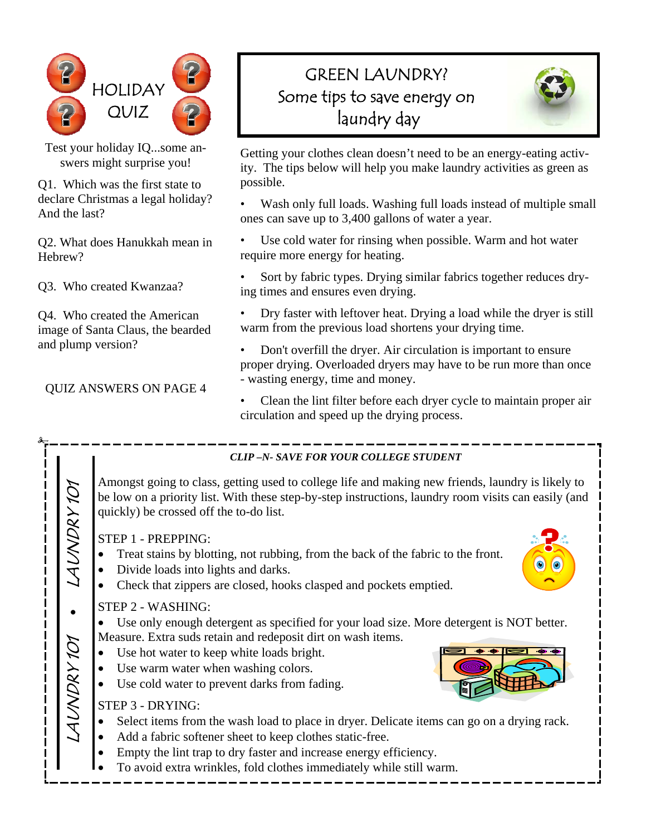

Test your holiday IQ...some answers might surprise you!

Q1. Which was the first state to declare Christmas a legal holiday? And the last?

Q2. What does Hanukkah mean in Hebrew?

Q3. Who created Kwanzaa?

Q4. Who created the American image of Santa Claus, the bearded and plump version?

QUIZ ANSWERS ON PAGE 4

## GREEN LAUNDRY? Some tips to save energy on laundry day



Getting your clothes clean doesn't need to be an energy-eating activity. The tips below will help you make laundry activities as green as possible.

• Wash only full loads. Washing full loads instead of multiple small ones can save up to 3,400 gallons of water a year.

- Use cold water for rinsing when possible. Warm and hot water require more energy for heating.
- Sort by fabric types. Drying similar fabrics together reduces drying times and ensures even drying.
- Dry faster with leftover heat. Drying a load while the dryer is still warm from the previous load shortens your drying time.
- Don't overfill the dryer. Air circulation is important to ensure proper drying. Overloaded dryers may have to be run more than once - wasting energy, time and money.
- Clean the lint filter before each dryer cycle to maintain proper air circulation and speed up the drying process.

|             | <b>CLIP-N- SAVE FOR YOUR COLLEGE STUDENT</b>                                                                                                                                                                                                                                                                                                                                                                                                                                                                                                                                                                                                             |
|-------------|----------------------------------------------------------------------------------------------------------------------------------------------------------------------------------------------------------------------------------------------------------------------------------------------------------------------------------------------------------------------------------------------------------------------------------------------------------------------------------------------------------------------------------------------------------------------------------------------------------------------------------------------------------|
| LAUNDRY 101 | Amongst going to class, getting used to college life and making new friends, laundry is likely to<br>be low on a priority list. With these step-by-step instructions, laundry room visits can easily (and<br>quickly) be crossed off the to-do list.                                                                                                                                                                                                                                                                                                                                                                                                     |
|             | STEP 1 - PREPPING:<br>Treat stains by blotting, not rubbing, from the back of the fabric to the front.<br>Divide loads into lights and darks.<br>$\bullet$<br>Check that zippers are closed, hooks clasped and pockets emptied.                                                                                                                                                                                                                                                                                                                                                                                                                          |
| LAUNDRY 101 | STEP 2 - WASHING:<br>Use only enough detergent as specified for your load size. More detergent is NOT better.<br>Measure. Extra suds retain and redeposit dirt on wash items.<br>Use hot water to keep white loads bright.<br>Use warm water when washing colors.<br>Use cold water to prevent darks from fading.<br>STEP 3 - DRYING:<br>Select items from the wash load to place in dryer. Delicate items can go on a drying rack.<br>$\bullet$<br>Add a fabric softener sheet to keep clothes static-free.<br>Empty the lint trap to dry faster and increase energy efficiency.<br>To avoid extra wrinkles, fold clothes immediately while still warm. |